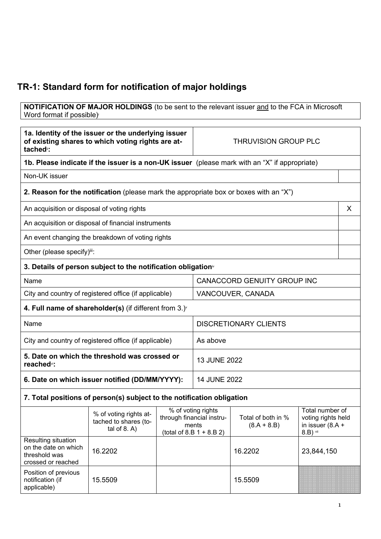## **TR-1: Standard form for notification of major holdings**

**NOTIFICATION OF MAJOR HOLDINGS** (to be sent to the relevant issuer and to the FCA in Microsoft Word format if possible)

| 1a. Identity of the issuer or the underlying issuer<br>of existing shares to which voting rights are at-<br>tached <sup>"</sup> : |                                                                                       | <b>THRUVISION GROUP PLC</b> |                                                                                        |                                     |                                                                           |   |
|-----------------------------------------------------------------------------------------------------------------------------------|---------------------------------------------------------------------------------------|-----------------------------|----------------------------------------------------------------------------------------|-------------------------------------|---------------------------------------------------------------------------|---|
| 1b. Please indicate if the issuer is a non-UK issuer (please mark with an "X" if appropriate)                                     |                                                                                       |                             |                                                                                        |                                     |                                                                           |   |
| Non-UK issuer                                                                                                                     |                                                                                       |                             |                                                                                        |                                     |                                                                           |   |
|                                                                                                                                   | 2. Reason for the notification (please mark the appropriate box or boxes with an "X") |                             |                                                                                        |                                     |                                                                           |   |
| An acquisition or disposal of voting rights                                                                                       |                                                                                       |                             |                                                                                        |                                     |                                                                           | X |
|                                                                                                                                   | An acquisition or disposal of financial instruments                                   |                             |                                                                                        |                                     |                                                                           |   |
|                                                                                                                                   | An event changing the breakdown of voting rights                                      |                             |                                                                                        |                                     |                                                                           |   |
| Other (please specify)iii:                                                                                                        |                                                                                       |                             |                                                                                        |                                     |                                                                           |   |
|                                                                                                                                   | 3. Details of person subject to the notification obligation <sup>*</sup>              |                             |                                                                                        |                                     |                                                                           |   |
| Name                                                                                                                              |                                                                                       |                             | <b>CANACCORD GENUITY GROUP INC</b>                                                     |                                     |                                                                           |   |
|                                                                                                                                   | City and country of registered office (if applicable)                                 |                             | VANCOUVER, CANADA                                                                      |                                     |                                                                           |   |
|                                                                                                                                   | 4. Full name of shareholder(s) (if different from $3.$ ) $\check{ }$                  |                             |                                                                                        |                                     |                                                                           |   |
| Name                                                                                                                              |                                                                                       |                             | <b>DISCRETIONARY CLIENTS</b>                                                           |                                     |                                                                           |   |
| City and country of registered office (if applicable)                                                                             |                                                                                       |                             | As above                                                                               |                                     |                                                                           |   |
| 5. Date on which the threshold was crossed or<br>reached <sup>vi</sup> :                                                          |                                                                                       | 13 JUNE 2022                |                                                                                        |                                     |                                                                           |   |
| 6. Date on which issuer notified (DD/MM/YYYY):                                                                                    |                                                                                       | <b>14 JUNE 2022</b>         |                                                                                        |                                     |                                                                           |   |
|                                                                                                                                   | 7. Total positions of person(s) subject to the notification obligation                |                             |                                                                                        |                                     |                                                                           |   |
|                                                                                                                                   | % of voting rights at-<br>tached to shares (to-<br>tal of $8. A$ )                    |                             | % of voting rights<br>through financial instru-<br>ments<br>$(total of 8.B 1 + 8.B 2)$ | Total of both in %<br>$(8.A + 8.B)$ | Total number of<br>voting rights held<br>in issuer $(8.A +$<br>$8.B)$ vii |   |
| Resulting situation<br>on the date on which<br>threshold was<br>crossed or reached                                                | 16.2202                                                                               |                             |                                                                                        | 16.2202                             | 23,844,150                                                                |   |
| Position of previous<br>notification (if<br>applicable)                                                                           | 15.5509                                                                               |                             |                                                                                        | 15.5509                             |                                                                           |   |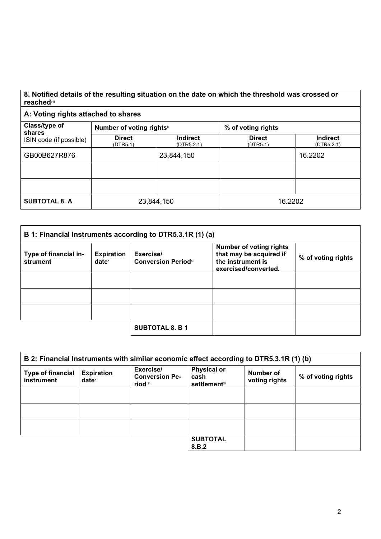## **8. Notified details of the resulting situation on the date on which the threshold was crossed or reached**viii

## **A: Voting rights attached to shares**

| Class/type of<br>shares | Number of voting rightsix |                               | % of voting rights        |                               |
|-------------------------|---------------------------|-------------------------------|---------------------------|-------------------------------|
| ISIN code (if possible) | <b>Direct</b><br>(DTR5.1) | <b>Indirect</b><br>(DTR5.2.1) | <b>Direct</b><br>(DTR5.1) | <b>Indirect</b><br>(DTR5.2.1) |
| GB00B627R876            |                           | 23,844,150                    |                           | 16.2202                       |
|                         |                           |                               |                           |                               |
|                         |                           |                               |                           |                               |
| <b>SUBTOTAL 8. A</b>    | 23,844,150                |                               | 16.2202                   |                               |

| B 1: Financial Instruments according to DTR5.3.1R (1) (a) |                                        |                                         |                                                                                                        |                    |
|-----------------------------------------------------------|----------------------------------------|-----------------------------------------|--------------------------------------------------------------------------------------------------------|--------------------|
| Type of financial in-<br>strument                         | <b>Expiration</b><br>date <sup>x</sup> | Exercise/<br><b>Conversion Periodxi</b> | <b>Number of voting rights</b><br>that may be acquired if<br>the instrument is<br>exercised/converted. | % of voting rights |
|                                                           |                                        |                                         |                                                                                                        |                    |
|                                                           |                                        |                                         |                                                                                                        |                    |
|                                                           |                                        |                                         |                                                                                                        |                    |
|                                                           |                                        | <b>SUBTOTAL 8. B 1</b>                  |                                                                                                        |                    |

| B 2: Financial Instruments with similar economic effect according to DTR5.3.1R (1) (b) |                               |                                               |                                                     |                            |                    |
|----------------------------------------------------------------------------------------|-------------------------------|-----------------------------------------------|-----------------------------------------------------|----------------------------|--------------------|
| <b>Type of financial</b><br>instrument                                                 | <b>Expiration</b><br>$date^x$ | Exercise/<br><b>Conversion Pe-</b><br>riod xi | <b>Physical or</b><br>cash<br><b>settlement</b> xii | Number of<br>voting rights | % of voting rights |
|                                                                                        |                               |                                               |                                                     |                            |                    |
|                                                                                        |                               |                                               |                                                     |                            |                    |
|                                                                                        |                               |                                               |                                                     |                            |                    |
|                                                                                        |                               |                                               | <b>SUBTOTAL</b><br>8.B.2                            |                            |                    |